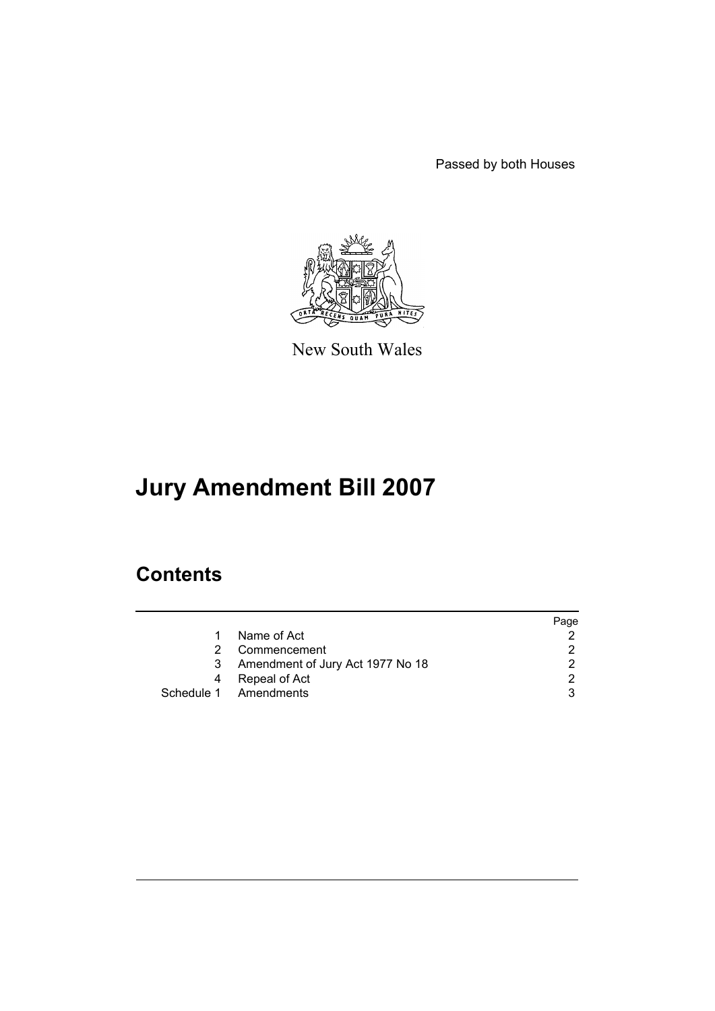Passed by both Houses



New South Wales

# **Jury Amendment Bill 2007**

# **Contents**

|    |                                    | Page |
|----|------------------------------------|------|
| 1. | Name of Act                        |      |
| 2. | Commencement                       |      |
|    | 3 Amendment of Jury Act 1977 No 18 |      |
| 4  | Repeal of Act                      |      |
|    | Schedule 1 Amendments              |      |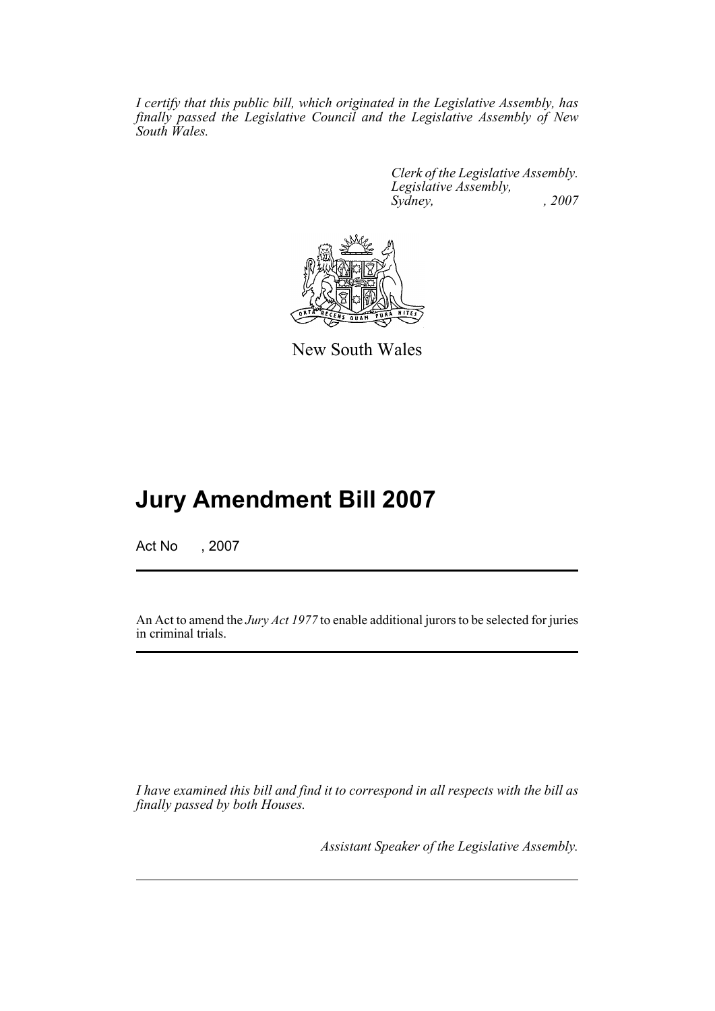*I certify that this public bill, which originated in the Legislative Assembly, has finally passed the Legislative Council and the Legislative Assembly of New South Wales.*

> *Clerk of the Legislative Assembly. Legislative Assembly, Sydney, , 2007*



New South Wales

# **Jury Amendment Bill 2007**

Act No , 2007

An Act to amend the *Jury Act 1977* to enable additional jurors to be selected for juries in criminal trials.

*I have examined this bill and find it to correspond in all respects with the bill as finally passed by both Houses.*

*Assistant Speaker of the Legislative Assembly.*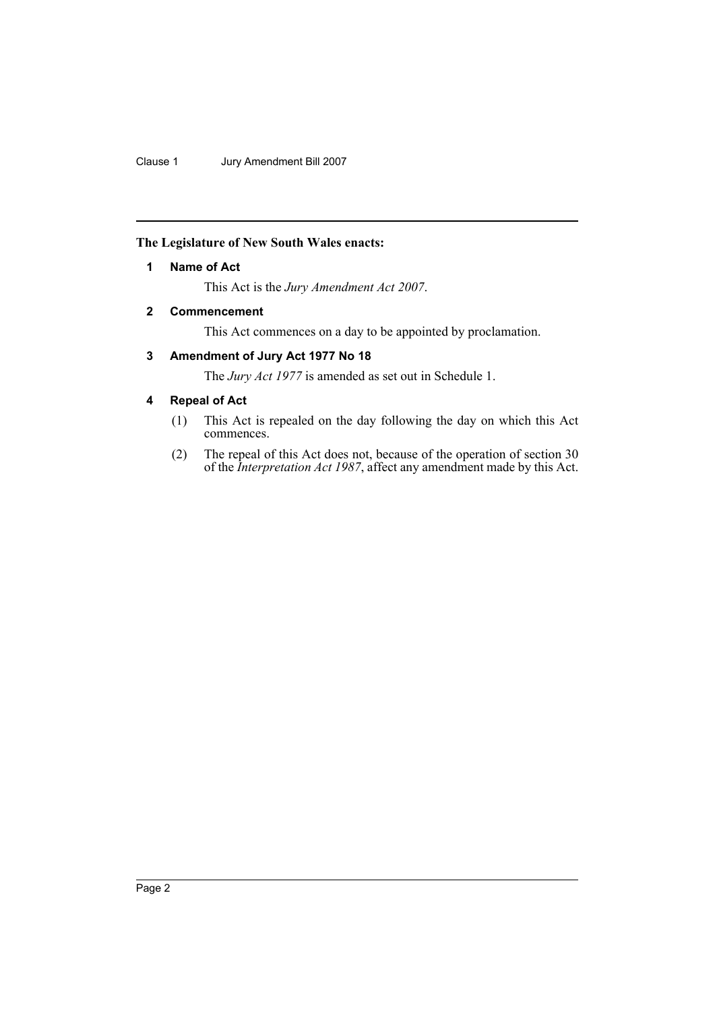#### <span id="page-2-0"></span>**The Legislature of New South Wales enacts:**

## **1 Name of Act**

This Act is the *Jury Amendment Act 2007*.

# <span id="page-2-1"></span>**2 Commencement**

This Act commences on a day to be appointed by proclamation.

# <span id="page-2-2"></span>**3 Amendment of Jury Act 1977 No 18**

The *Jury Act 1977* is amended as set out in Schedule 1.

## <span id="page-2-3"></span>**4 Repeal of Act**

- (1) This Act is repealed on the day following the day on which this Act commences.
- (2) The repeal of this Act does not, because of the operation of section 30 of the *Interpretation Act 1987*, affect any amendment made by this Act.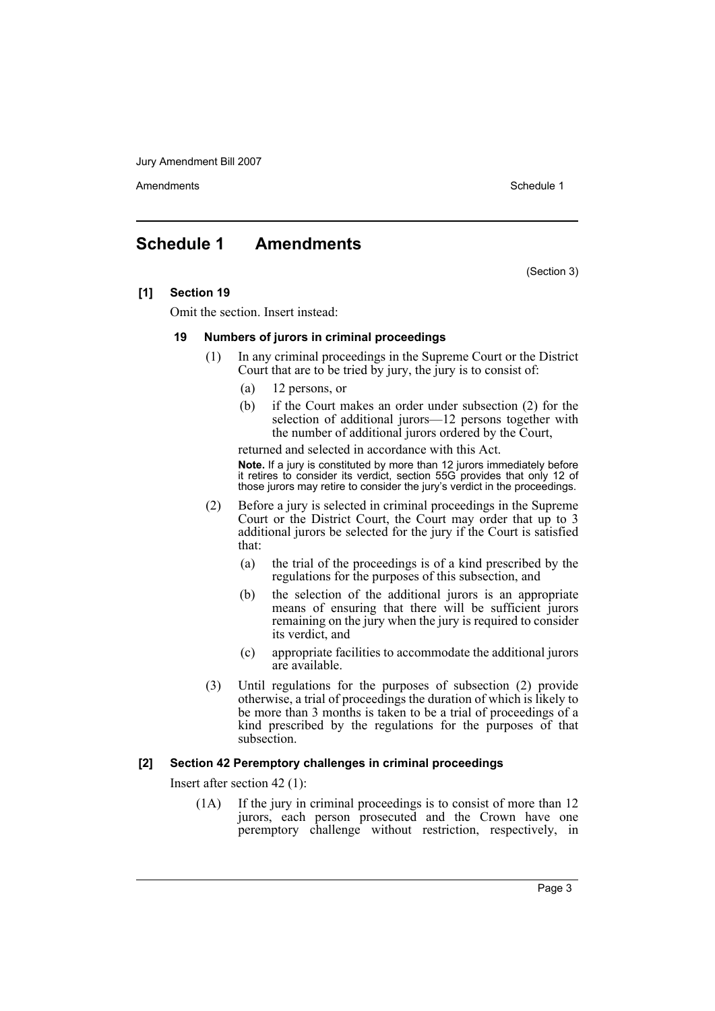Amendments **Amendments** Schedule 1

# <span id="page-3-0"></span>**Schedule 1 Amendments**

(Section 3)

#### **[1] Section 19**

Omit the section. Insert instead:

#### **19 Numbers of jurors in criminal proceedings**

- (1) In any criminal proceedings in the Supreme Court or the District Court that are to be tried by jury, the jury is to consist of:
	- (a) 12 persons, or
	- (b) if the Court makes an order under subsection (2) for the selection of additional jurors—12 persons together with the number of additional jurors ordered by the Court,

returned and selected in accordance with this Act. **Note.** If a jury is constituted by more than 12 jurors immediately before it retires to consider its verdict, section 55G provides that only 12 of those jurors may retire to consider the jury's verdict in the proceedings.

- (2) Before a jury is selected in criminal proceedings in the Supreme Court or the District Court, the Court may order that up to 3 additional jurors be selected for the jury if the Court is satisfied that:
	- (a) the trial of the proceedings is of a kind prescribed by the regulations for the purposes of this subsection, and
	- (b) the selection of the additional jurors is an appropriate means of ensuring that there will be sufficient jurors remaining on the jury when the jury is required to consider its verdict, and
	- (c) appropriate facilities to accommodate the additional jurors are available.
- (3) Until regulations for the purposes of subsection (2) provide otherwise, a trial of proceedings the duration of which is likely to be more than 3 months is taken to be a trial of proceedings of a kind prescribed by the regulations for the purposes of that subsection.

#### **[2] Section 42 Peremptory challenges in criminal proceedings**

Insert after section 42 (1):

(1A) If the jury in criminal proceedings is to consist of more than 12 jurors, each person prosecuted and the Crown have one peremptory challenge without restriction, respectively, in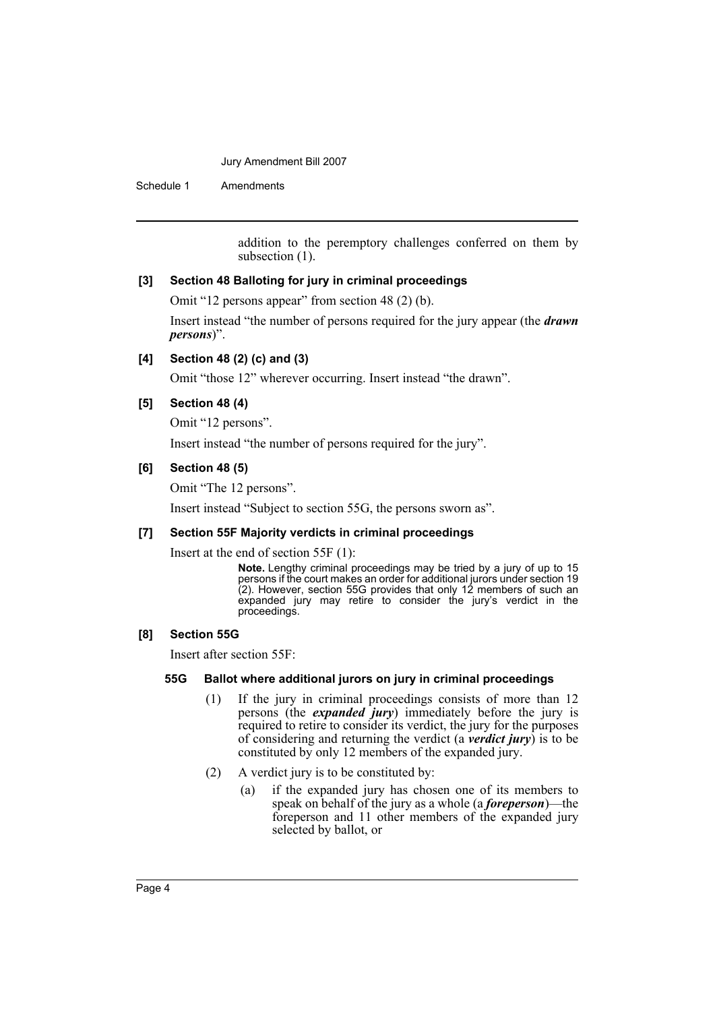Schedule 1 Amendments

addition to the peremptory challenges conferred on them by subsection  $(1)$ .

#### **[3] Section 48 Balloting for jury in criminal proceedings**

Omit "12 persons appear" from section 48 (2) (b).

Insert instead "the number of persons required for the jury appear (the *drawn persons*)".

## **[4] Section 48 (2) (c) and (3)**

Omit "those 12" wherever occurring. Insert instead "the drawn".

#### **[5] Section 48 (4)**

Omit "12 persons".

Insert instead "the number of persons required for the jury".

#### **[6] Section 48 (5)**

Omit "The 12 persons".

Insert instead "Subject to section 55G, the persons sworn as".

#### **[7] Section 55F Majority verdicts in criminal proceedings**

Insert at the end of section 55F (1):

**Note.** Lengthy criminal proceedings may be tried by a jury of up to 15 persons if the court makes an order for additional jurors under section 19 (2). However, section 55G provides that only 12 members of such an expanded jury may retire to consider the jury's verdict in the proceedings.

#### **[8] Section 55G**

Insert after section 55F:

#### **55G Ballot where additional jurors on jury in criminal proceedings**

- (1) If the jury in criminal proceedings consists of more than 12 persons (the *expanded jury*) immediately before the jury is required to retire to consider its verdict, the jury for the purposes of considering and returning the verdict (a *verdict jury*) is to be constituted by only 12 members of the expanded jury.
- (2) A verdict jury is to be constituted by:
	- (a) if the expanded jury has chosen one of its members to speak on behalf of the jury as a whole (a *foreperson*)—the foreperson and 11 other members of the expanded jury selected by ballot, or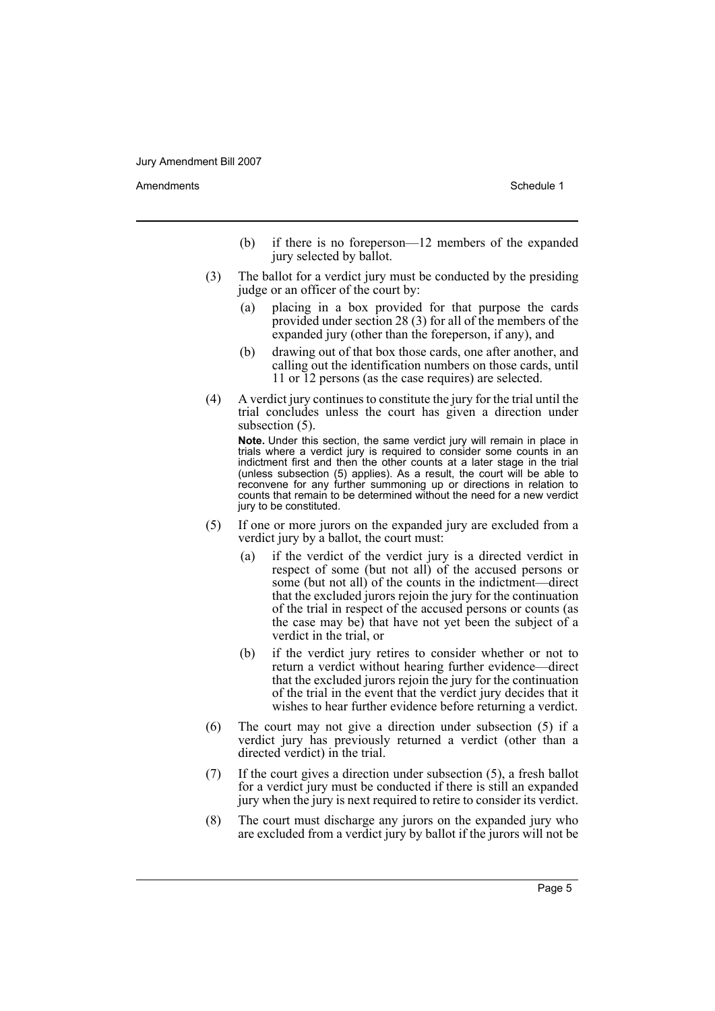Amendments **Amendments** Schedule 1

- (b) if there is no foreperson—12 members of the expanded jury selected by ballot.
- (3) The ballot for a verdict jury must be conducted by the presiding judge or an officer of the court by:
	- (a) placing in a box provided for that purpose the cards provided under section 28 (3) for all of the members of the expanded jury (other than the foreperson, if any), and
	- (b) drawing out of that box those cards, one after another, and calling out the identification numbers on those cards, until 11 or 12 persons (as the case requires) are selected.
- (4) A verdict jury continues to constitute the jury for the trial until the trial concludes unless the court has given a direction under subsection  $(5)$ .

**Note.** Under this section, the same verdict jury will remain in place in trials where a verdict jury is required to consider some counts in an indictment first and then the other counts at a later stage in the trial (unless subsection (5) applies). As a result, the court will be able to reconvene for any further summoning up or directions in relation to counts that remain to be determined without the need for a new verdict jury to be constituted.

- (5) If one or more jurors on the expanded jury are excluded from a verdict jury by a ballot, the court must:
	- (a) if the verdict of the verdict jury is a directed verdict in respect of some (but not all) of the accused persons or some (but not all) of the counts in the indictment—direct that the excluded jurors rejoin the jury for the continuation of the trial in respect of the accused persons or counts (as the case may be) that have not yet been the subject of a verdict in the trial, or
	- (b) if the verdict jury retires to consider whether or not to return a verdict without hearing further evidence—direct that the excluded jurors rejoin the jury for the continuation of the trial in the event that the verdict jury decides that it wishes to hear further evidence before returning a verdict.
- (6) The court may not give a direction under subsection (5) if a verdict jury has previously returned a verdict (other than a directed verdict) in the trial.
- (7) If the court gives a direction under subsection (5), a fresh ballot for a verdict jury must be conducted if there is still an expanded jury when the jury is next required to retire to consider its verdict.
- (8) The court must discharge any jurors on the expanded jury who are excluded from a verdict jury by ballot if the jurors will not be